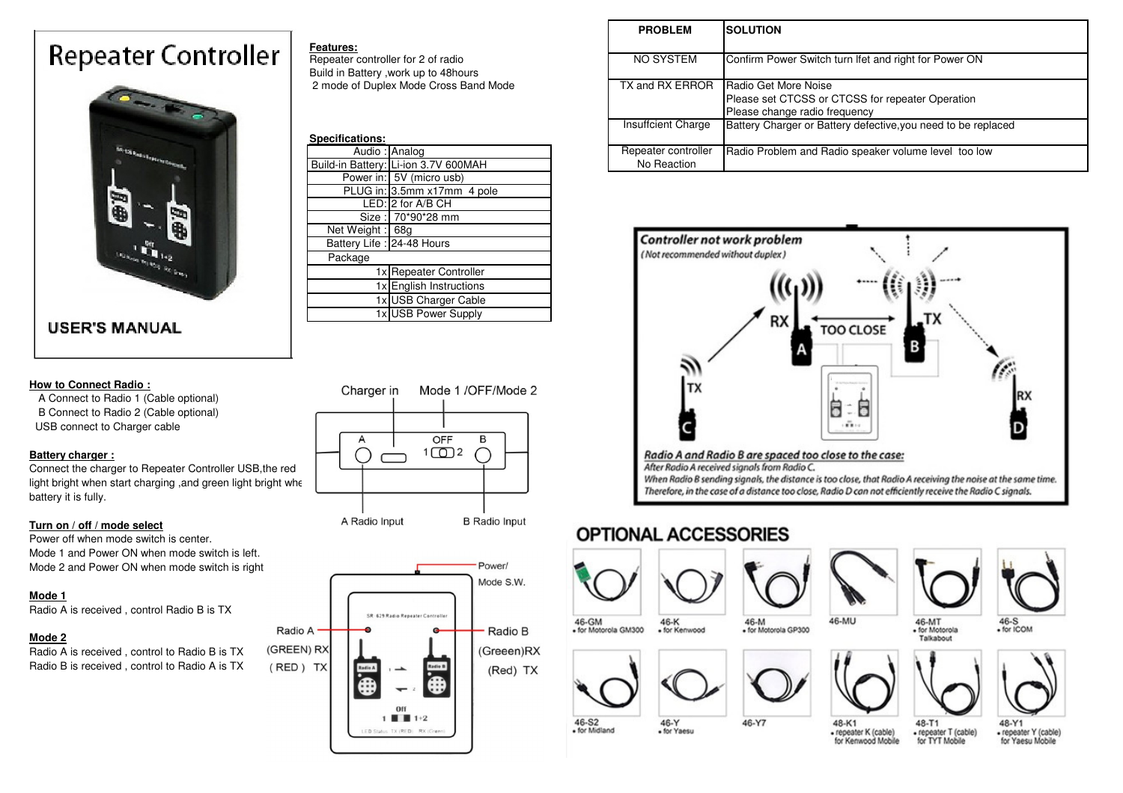# **Repeater Controller**



### **USER'S MANUAL**

#### **How to Connect Radio :**

 A Connect to Radio 1 (Cable optional) B Connect to Radio 2 (Cable optional)USB connect to Charger cable

#### **Battery charger :**

 Connect the charger to Repeater Controller USB,the red light bright when start charging ,and green light bright whe battery it is fully.

#### **Turn on / off / mode select**

 Power off when mode switch is center. Mode 1 and Power ON when mode switch is left. Mode 2 and Power ON when mode switch is right

#### **Mode 1**

Radio A is received , control Radio B is TX

#### **Mode 2**

 Radio A is received , control to Radio B is TX Radio B is received , control to Radio A is TX

#### **Features:**

 Repeater controller for 2 of radioBuild in Battery ,work up to 48hours 2 mode of Duplex Mode Cross Band Mode

| Specifications:            |                                      |  |  |
|----------------------------|--------------------------------------|--|--|
|                            | Audio: Analog                        |  |  |
|                            | Build-in Battery: Li-ion 3.7V 600MAH |  |  |
|                            | Power in: 5V (micro usb)             |  |  |
|                            | PLUG in: 3.5mm x17mm 4 pole          |  |  |
|                            | LED: 2 for A/B CH                    |  |  |
|                            | Size: 70*90*28 mm                    |  |  |
|                            | Net Weight: 68g                      |  |  |
| Battery Life : 24-48 Hours |                                      |  |  |
| Package                    |                                      |  |  |
|                            | 1x Repeater Controller               |  |  |
|                            | 1x English Instructions              |  |  |
|                            | 1x USB Charger Cable                 |  |  |
|                            | 1x USB Power Supply                  |  |  |





Power/ Mode S.W. SR 629 Radio Repeater Controlle Radio A Radio B (GREEN) RX (Greeen)RX (RED) TX (Red) TX A Off  $1 \parallel 1 + 2$ LED Status TX (RED) RX (Gre

|                            | <b>PROBLEM</b>                     | <b>SOLUTION</b>                                                                                           |
|----------------------------|------------------------------------|-----------------------------------------------------------------------------------------------------------|
| 2 of radio<br>p to 48hours | NO SYSTEM                          | Confirm Power Switch turn Ifet and right for Power ON                                                     |
| le Cross Band Mode         | TX and RX ERROR                    | Radio Get More Noise<br>Please set CTCSS or CTCSS for repeater Operation<br>Please change radio frequency |
|                            | Insuffcient Charge                 | Battery Charger or Battery defective, you need to be replaced                                             |
| 3.7V 600MAH                | Repeater controller<br>No Reaction | Radio Problem and Radio speaker volume level too low                                                      |



48-K1

## **OPTIONAL ACCESSORIES**

46-Y<br>• for Yaesu



46-S2<br>• for Midland





46-Y7





- for Motorola Talkabout





48-T1 · repeater K (cable) · repeater T (cable) for Kenwood Mobile for TYT Mobile

· repeater Y (cable) for Yaesu Mobile